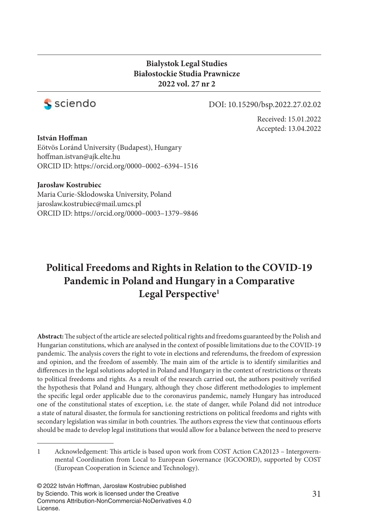### **Bialystok Legal Studies Białostockie Studia Prawnicze 2022 vol. 27 nr 2**



#### DOI: 10.15290/bsp.2022.27.02.02

Received: 15.01.2022 Accepted: 13.04.2022

**István Hoffman** 

Eötvös Loránd University (Budapest), Hungary hoffman.istvan@ajk.elte.hu ORCID ID: https://orcid.org/0000–0002–6394–1516

#### **Jarosław Kostrubiec**

Maria Curie-Sklodowska University, Poland jaroslaw.kostrubiec@mail.umcs.pl ORCID ID: https://orcid.org/0000–0003–1379–9846

# **Political Freedoms and Rights in Relation to the COVID-19 Pandemic in Poland and Hungary in a Comparative Legal Perspective1**

Abstract: The subject of the article are selected political rights and freedoms guaranteed by the Polish and Hungarian constitutions, which are analysed in the context of possible limitations due to the COVID-19 pandemic. The analysis covers the right to vote in elections and referendums, the freedom of expression and opinion, and the freedom of assembly. The main aim of the article is to identify similarities and differences in the legal solutions adopted in Poland and Hungary in the context of restrictions or threats to political freedoms and rights. As a result of the research carried out, the authors positively verified the hypothesis that Poland and Hungary, although they chose different methodologies to implement the specific legal order applicable due to the coronavirus pandemic, namely Hungary has introduced one of the constitutional states of exception, i.e. the state of danger, while Poland did not introduce a state of natural disaster, the formula for sanctioning restrictions on political freedoms and rights with secondary legislation was similar in both countries. The authors express the view that continuous efforts should be made to develop legal institutions that would allow for a balance between the need to preserve

<sup>1</sup> Acknowledgement: This article is based upon work from COST Action CA20123 - Intergovernmental Coordination from Local to European Governance (IGCOORD), supported by COST (European Cooperation in Science and Technology).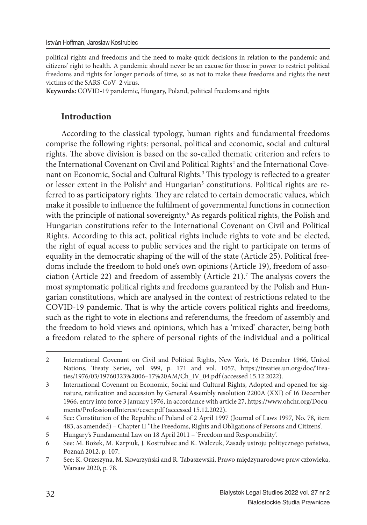political rights and freedoms and the need to make quick decisions in relation to the pandemic and citizens' right to health. A pandemic should never be an excuse for those in power to restrict political freedoms and rights for longer periods of time, so as not to make these freedoms and rights the next victims of the SARS-CoV–2 virus.

**Keywords:** COVID-19 pandemic, Hungary, Poland, political freedoms and rights

### **Introduction**

According to the classical typology, human rights and fundamental freedoms comprise the following rights: personal, political and economic, social and cultural rights. The above division is based on the so-called thematic criterion and refers to the International Covenant on Civil and Political Rights<sup>2</sup> and the International Covenant on Economic, Social and Cultural Rights.<sup>3</sup> This typology is reflected to a greater or lesser extent in the Polish<sup>4</sup> and Hungarian<sup>5</sup> constitutions. Political rights are referred to as participatory rights. They are related to certain democratic values, which make it possible to influence the fulfilment of governmental functions in connection with the principle of national sovereignty.<sup>6</sup> As regards political rights, the Polish and Hungarian constitutions refer to the International Covenant on Civil and Political Rights. According to this act, political rights include rights to vote and be elected, the right of equal access to public services and the right to participate on terms of equality in the democratic shaping of the will of the state (Article 25). Political freedoms include the freedom to hold one's own opinions (Article 19), freedom of association (Article 22) and freedom of assembly (Article 21).<sup>7</sup> The analysis covers the most symptomatic political rights and freedoms guaranteed by the Polish and Hungarian constitutions, which are analysed in the context of restrictions related to the COVID-19 pandemic. That is why the article covers political rights and freedoms, such as the right to vote in elections and referendums, the freedom of assembly and the freedom to hold views and opinions, which has a 'mixed' character, being both a freedom related to the sphere of personal rights of the individual and a political

<sup>2</sup> International Covenant on Civil and Political Rights, New York, 16 December 1966, United Nations, Treaty Series, vol. 999, p. 171 and vol. 1057, https://treaties.un.org/doc/Treaties/1976/03/19760323%2006–17%20AM/Ch\_IV\_04.pdf (accessed 15.12.2022).

<sup>3</sup> International Covenant on Economic, Social and Cultural Rights, Adopted and opened for signature, ratification and accession by General Assembly resolution 2200A (XXI) of 16 December 1966, entry into force 3 January 1976, in accordance with article 27, https://www.ohchr.org/Documents/ProfessionalInterest/cescr.pdf (accessed 15.12.2022).

<sup>4</sup> See: Constitution of the Republic of Poland of 2 April 1997 (Journal of Laws 1997, No. 78, item 483, as amended) – Chapter II 'The Freedoms, Rights and Obligations of Persons and Citizens'.

<sup>5</sup> Hungary's Fundamental Law on 18 April 2011 – 'Freedom and Responsibility'.

<sup>6</sup> See: M. Bożek, M. Karpiuk, J. Kostrubiec and K. Walczuk, Zasady ustroju politycznego państwa, Poznań 2012, p. 107.

<sup>7</sup> See: K. Orzeszyna, M. Skwarzyński and R. Tabaszewski, Prawo międzynarodowe praw człowieka, Warsaw 2020, p. 78.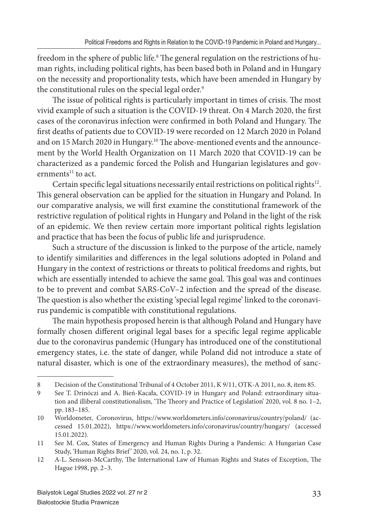freedom in the sphere of public life. $^{\text{\tiny{8}}}$  The general regulation on the restrictions of human rights, including political rights, has been based both in Poland and in Hungary on the necessity and proportionality tests, which have been amended in Hungary by the constitutional rules on the special legal order.<sup>9</sup>

The issue of political rights is particularly important in times of crisis. The most vivid example of such a situation is the COVID-19 threat. On 4 March 2020, the first cases of the coronavirus infection were confirmed in both Poland and Hungary. The first deaths of patients due to COVID-19 were recorded on 12 March 2020 in Poland and on 15 March 2020 in Hungary.<sup>10</sup> The above-mentioned events and the announcement by the World Health Organization on 11 March 2020 that COVID-19 can be characterized as a pandemic forced the Polish and Hungarian legislatures and governments $11$  to act.

Certain specific legal situations necessarily entail restrictions on political rights<sup>12</sup>. This general observation can be applied for the situation in Hungary and Poland. In our comparative analysis, we will first examine the constitutional framework of the restrictive regulation of political rights in Hungary and Poland in the light of the risk of an epidemic. We then review certain more important political rights legislation and practice that has been the focus of public life and jurisprudence.

Such a structure of the discussion is linked to the purpose of the article, namely to identify similarities and differences in the legal solutions adopted in Poland and Hungary in the context of restrictions or threats to political freedoms and rights, but which are essentially intended to achieve the same goal. This goal was and continues to be to prevent and combat SARS-CoV–2 infection and the spread of the disease. The question is also whether the existing 'special legal regime' linked to the coronavirus pandemic is compatible with constitutional regulations.

The main hypothesis proposed herein is that although Poland and Hungary have formally chosen different original legal bases for a specific legal regime applicable due to the coronavirus pandemic (Hungary has introduced one of the constitutional emergency states, i.e. the state of danger, while Poland did not introduce a state of natural disaster, which is one of the extraordinary measures), the method of sanc-

<sup>8</sup> Decision of the Constitutional Tribunal of 4 October 2011, K 9/11, OTK-A 2011, no. 8, item 85.

<sup>9</sup> See T. Drinóczi and A. Bień-Kacała, COVID-19 in Hungary and Poland: extraordinary situation and illiberal constitutionalism, 'The Theory and Practice of Legislation' 2020, vol. 8 no. 1-2, pp. 183–185.

<sup>10</sup> Worldometer, Coronovirus, https://www.worldometers.info/coronavirus/country/poland/ (accessed 15.01.2022), https://www.worldometers.info/coronavirus/country/hungary/ (accessed 15.01.2022).

<sup>11</sup> See M. Cox, States of Emergency and Human Rights During a Pandemic: A Hungarian Case Study, 'Human Rights Brief ' 2020, vol. 24, no. 1, p. 32.

<sup>12</sup> A-L. Sensson-McCarthy, The International Law of Human Rights and States of Exception, The Hague 1998, pp. 2–3.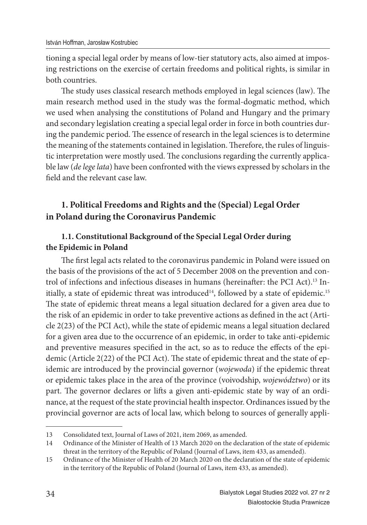tioning a special legal order by means of low-tier statutory acts, also aimed at imposing restrictions on the exercise of certain freedoms and political rights, is similar in both countries.

The study uses classical research methods employed in legal sciences (law). The main research method used in the study was the formal-dogmatic method, which we used when analysing the constitutions of Poland and Hungary and the primary and secondary legislation creating a special legal order in force in both countries during the pandemic period. The essence of research in the legal sciences is to determine the meaning of the statements contained in legislation. Therefore, the rules of linguistic interpretation were mostly used. The conclusions regarding the currently applicable law (*de lege lata*) have been confronted with the views expressed by scholars in the field and the relevant case law.

## **1. Political Freedoms and Rights and the (Special) Legal Order in Poland during the Coronavirus Pandemic**

## **1.1. Constitutional Background of the Special Legal Order during the Epidemic in Poland**

The first legal acts related to the coronavirus pandemic in Poland were issued on the basis of the provisions of the act of 5 December 2008 on the prevention and control of infections and infectious diseases in humans (hereinafter: the PCI Act).<sup>13</sup> Initially, a state of epidemic threat was introduced<sup>14</sup>, followed by a state of epidemic.<sup>15</sup> The state of epidemic threat means a legal situation declared for a given area due to the risk of an epidemic in order to take preventive actions as defined in the act (Article 2(23) of the PCI Act), while the state of epidemic means a legal situation declared for a given area due to the occurrence of an epidemic, in order to take anti-epidemic and preventive measures specified in the act, so as to reduce the effects of the epidemic (Article  $2(22)$  of the PCI Act). The state of epidemic threat and the state of epidemic are introduced by the provincial governor (*wojewoda*) if the epidemic threat or epidemic takes place in the area of the province (voivodship, *województwo*) or its part. The governor declares or lifts a given anti-epidemic state by way of an ordinance, at the request of the state provincial health inspector. Ordinances issued by the provincial governor are acts of local law, which belong to sources of generally appli-

<sup>13</sup> Consolidated text, Journal of Laws of 2021, item 2069, as amended.

<sup>14</sup> Ordinance of the Minister of Health of 13 March 2020 on the declaration of the state of epidemic threat in the territory of the Republic of Poland (Journal of Laws, item 433, as amended).

<sup>15</sup> Ordinance of the Minister of Health of 20 March 2020 on the declaration of the state of epidemic in the territory of the Republic of Poland (Journal of Laws, item 433, as amended).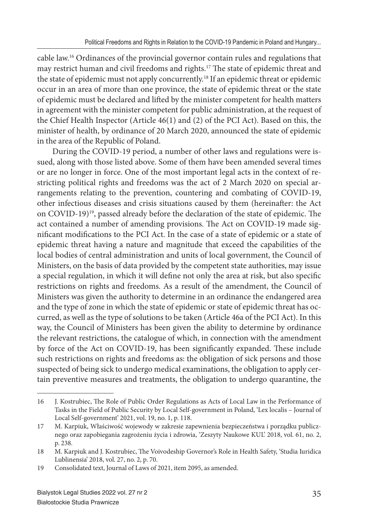cable law.16 Ordinances of the provincial governor contain rules and regulations that may restrict human and civil freedoms and rights.<sup>17</sup> The state of epidemic threat and the state of epidemic must not apply concurrently.18 If an epidemic threat or epidemic occur in an area of more than one province, the state of epidemic threat or the state of epidemic must be declared and lifted by the minister competent for health matters in agreement with the minister competent for public administration, at the request of the Chief Health Inspector (Article 46(1) and (2) of the PCI Act). Based on this, the minister of health, by ordinance of 20 March 2020, announced the state of epidemic in the area of the Republic of Poland.

During the COVID-19 period, a number of other laws and regulations were issued, along with those listed above. Some of them have been amended several times or are no longer in force. One of the most important legal acts in the context of restricting political rights and freedoms was the act of 2 March 2020 on special arrangements relating to the prevention, countering and combating of COVID-19, other infectious diseases and crisis situations caused by them (hereinafter: the Act on COVID-19)<sup>19</sup>, passed already before the declaration of the state of epidemic. The act contained a number of amending provisions. The Act on COVID-19 made significant modifications to the PCI Act. In the case of a state of epidemic or a state of epidemic threat having a nature and magnitude that exceed the capabilities of the local bodies of central administration and units of local government, the Council of Ministers, on the basis of data provided by the competent state authorities, may issue a special regulation, in which it will define not only the area at risk, but also specific restrictions on rights and freedoms. As a result of the amendment, the Council of Ministers was given the authority to determine in an ordinance the endangered area and the type of zone in which the state of epidemic or state of epidemic threat has occurred, as well as the type of solutions to be taken (Article 46a of the PCI Act). In this way, the Council of Ministers has been given the ability to determine by ordinance the relevant restrictions, the catalogue of which, in connection with the amendment by force of the Act on COVID-19, has been significantly expanded. These include such restrictions on rights and freedoms as: the obligation of sick persons and those suspected of being sick to undergo medical examinations, the obligation to apply certain preventive measures and treatments, the obligation to undergo quarantine, the

<sup>16</sup> J. Kostrubiec, The Role of Public Order Regulations as Acts of Local Law in the Performance of Tasks in the Field of Public Security by Local Self-government in Poland, 'Lex localis – Journal of Local Self-government' 2021, vol. 19, no. 1, p. 118.

<sup>17</sup> M. Karpiuk, Właściwość wojewody w zakresie zapewnienia bezpieczeństwa i porządku publicznego oraz zapobiegania zagrożeniu życia i zdrowia, 'Zeszyty Naukowe KUL' 2018, vol. 61, no. 2, p. 238.

<sup>18</sup> M. Karpiuk and J. Kostrubiec, The Voivodeship Governor's Role in Health Safety, 'Studia Iuridica Lublinensia' 2018, vol. 27, no. 2, p. 70.

<sup>19</sup> Consolidated text, Journal of Laws of 2021, item 2095, as amended.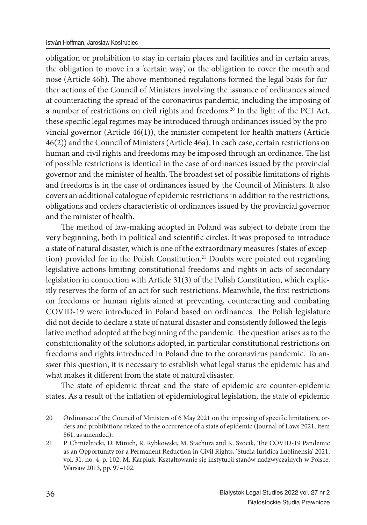obligation or prohibition to stay in certain places and facilities and in certain areas, the obligation to move in a 'certain way', or the obligation to cover the mouth and nose (Article 46b). The above-mentioned regulations formed the legal basis for further actions of the Council of Ministers involving the issuance of ordinances aimed at counteracting the spread of the coronavirus pandemic, including the imposing of a number of restrictions on civil rights and freedoms.<sup>20</sup> In the light of the PCI Act, these specific legal regimes may be introduced through ordinances issued by the provincial governor (Article 46(1)), the minister competent for health matters (Article 46(2)) and the Council of Ministers (Article 46a). In each case, certain restrictions on human and civil rights and freedoms may be imposed through an ordinance. The list of possible restrictions is identical in the case of ordinances issued by the provincial governor and the minister of health. The broadest set of possible limitations of rights and freedoms is in the case of ordinances issued by the Council of Ministers. It also covers an additional catalogue of epidemic restrictions in addition to the restrictions, obligations and orders characteristic of ordinances issued by the provincial governor and the minister of health.

The method of law-making adopted in Poland was subject to debate from the very beginning, both in political and scientific circles. It was proposed to introduce a state of natural disaster, which is one of the extraordinary measures (states of exception) provided for in the Polish Constitution.<sup>21</sup> Doubts were pointed out regarding legislative actions limiting constitutional freedoms and rights in acts of secondary legislation in connection with Article 31(3) of the Polish Constitution, which explicitly reserves the form of an act for such restrictions. Meanwhile, the first restrictions on freedoms or human rights aimed at preventing, counteracting and combating COVID-19 were introduced in Poland based on ordinances. The Polish legislature did not decide to declare a state of natural disaster and consistently followed the legislative method adopted at the beginning of the pandemic. The question arises as to the constitutionality of the solutions adopted, in particular constitutional restrictions on freedoms and rights introduced in Poland due to the coronavirus pandemic. To answer this question, it is necessary to establish what legal status the epidemic has and what makes it different from the state of natural disaster.

The state of epidemic threat and the state of epidemic are counter-epidemic states. As a result of the inflation of epidemiological legislation, the state of epidemic

<sup>20</sup> Ordinance of the Council of Ministers of 6 May 2021 on the imposing of specific limitations, orders and prohibitions related to the occurrence of a state of epidemic (Journal of Laws 2021, item 861, as amended).

<sup>21</sup> P. Chmielnicki, D. Minich, R. Rybkowski, M. Stachura and K. Szocik, The COVID-19 Pandemic as an Opportunity for a Permanent Reduction in Civil Rights, 'Studia Iuridica Lublinensia' 2021, vol. 31, no. 4, p. 102; M. Karpiuk, Kształtowanie się instytucji stanów nadzwyczajnych w Polsce, Warsaw 2013, pp. 97–102.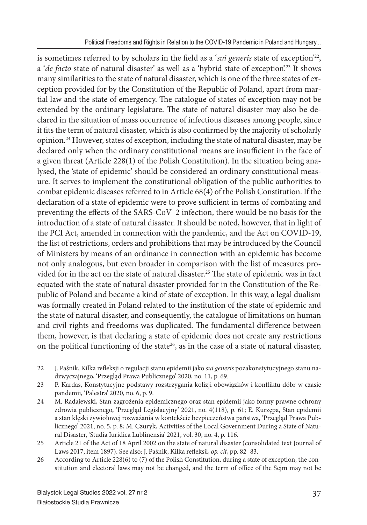is sometimes referred to by scholars in the field as a 'sui generis state of exception'<sup>22</sup>, a '*de facto* state of natural disaster' as well as a 'hybrid state of exception'.23 It shows many similarities to the state of natural disaster, which is one of the three states of exception provided for by the Constitution of the Republic of Poland, apart from martial law and the state of emergency. The catalogue of states of exception may not be extended by the ordinary legislature. The state of natural disaster may also be declared in the situation of mass occurrence of infectious diseases among people, since it fits the term of natural disaster, which is also confirmed by the majority of scholarly opinion.24 However, states of exception, including the state of natural disaster, may be declared only when the ordinary constitutional means are insufficient in the face of a given threat (Article 228(1) of the Polish Constitution). In the situation being analysed, the 'state of epidemic' should be considered an ordinary constitutional measure. It serves to implement the constitutional obligation of the public authorities to combat epidemic diseases referred to in Article 68(4) of the Polish Constitution. If the declaration of a state of epidemic were to prove sufficient in terms of combating and preventing the effects of the SARS-CoV–2 infection, there would be no basis for the introduction of a state of natural disaster. It should be noted, however, that in light of the PCI Act, amended in connection with the pandemic, and the Act on COVID-19, the list of restrictions, orders and prohibitions that may be introduced by the Council of Ministers by means of an ordinance in connection with an epidemic has become not only analogous, but even broader in comparison with the list of measures provided for in the act on the state of natural disaster.<sup>25</sup> The state of epidemic was in fact equated with the state of natural disaster provided for in the Constitution of the Republic of Poland and became a kind of state of exception. In this way, a legal dualism was formally created in Poland related to the institution of the state of epidemic and the state of natural disaster, and consequently, the catalogue of limitations on human and civil rights and freedoms was duplicated. The fundamental difference between them, however, is that declaring a state of epidemic does not create any restrictions on the political functioning of the state<sup>26</sup>, as in the case of a state of natural disaster,

<sup>22</sup> J. Paśnik, Kilka refl eksji o regulacji stanu epidemii jako *sui generis* pozakonstytucyjnego stanu nadzwyczajnego, 'Przegląd Prawa Publicznego' 2020, no. 11, p. 69.

<sup>23</sup> P. Kardas, Konstytucyjne podstawy rozstrzygania kolizji obowiązków i konfliktu dóbr w czasie pandemii, 'Palestra' 2020, no. 6, p. 9.

<sup>24</sup> M. Radajewski, Stan zagrożenia epidemicznego oraz stan epidemii jako formy prawne ochrony zdrowia publicznego, 'Przegląd Legislacyjny' 2021, no. 4(118), p. 61; E. Kurzępa, Stan epidemii a stan klęski żywiołowej rozważania w kontekście bezpieczeństwa państwa, 'Przegląd Prawa Publicznego' 2021, no. 5, p. 8; M. Czuryk, Activities of the Local Government During a State of Natural Disaster, 'Studia Iuridica Lublinensia' 2021, vol. 30, no. 4, p. 116.

<sup>25</sup> Article 21 of the Act of 18 April 2002 on the state of natural disaster (consolidated text Journal of Laws 2017, item 1897). See also: J. Paśnik, Kilka refleksji, op. cit, pp. 82-83.

<sup>26</sup> According to Article 228(6) to (7) of the Polish Constitution, during a state of exception, the constitution and electoral laws may not be changed, and the term of office of the Sejm may not be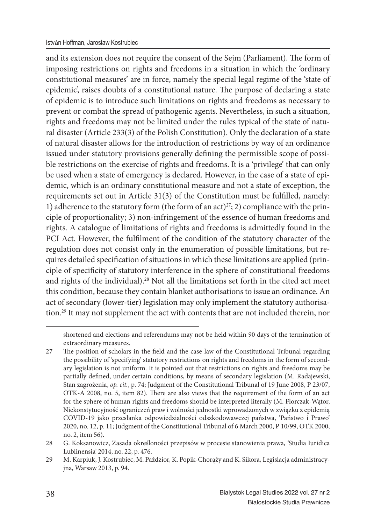and its extension does not require the consent of the Sejm (Parliament). The form of imposing restrictions on rights and freedoms in a situation in which the 'ordinary constitutional measures' are in force, namely the special legal regime of the 'state of epidemic', raises doubts of a constitutional nature. The purpose of declaring a state of epidemic is to introduce such limitations on rights and freedoms as necessary to prevent or combat the spread of pathogenic agents. Nevertheless, in such a situation, rights and freedoms may not be limited under the rules typical of the state of natural disaster (Article 233(3) of the Polish Constitution). Only the declaration of a state of natural disaster allows for the introduction of restrictions by way of an ordinance issued under statutory provisions generally defining the permissible scope of possible restrictions on the exercise of rights and freedoms. It is a 'privilege' that can only be used when a state of emergency is declared. However, in the case of a state of epidemic, which is an ordinary constitutional measure and not a state of exception, the requirements set out in Article  $31(3)$  of the Constitution must be fulfilled, namely: 1) adherence to the statutory form (the form of an act)<sup>27</sup>; 2) compliance with the principle of proportionality; 3) non-infringement of the essence of human freedoms and rights. A catalogue of limitations of rights and freedoms is admittedly found in the PCI Act. However, the fulfilment of the condition of the statutory character of the regulation does not consist only in the enumeration of possible limitations, but requires detailed specification of situations in which these limitations are applied (principle of specificity of statutory interference in the sphere of constitutional freedoms and rights of the individual).<sup>28</sup> Not all the limitations set forth in the cited act meet this condition, because they contain blanket authorisations to issue an ordinance. An act of secondary (lower-tier) legislation may only implement the statutory authorisation.29 It may not supplement the act with contents that are not included therein, nor

shortened and elections and referendums may not be held within 90 days of the termination of extraordinary measures.

<sup>27</sup> The position of scholars in the field and the case law of the Constitutional Tribunal regarding the possibility of 'specifying' statutory restrictions on rights and freedoms in the form of secondary legislation is not uniform. It is pointed out that restrictions on rights and freedoms may be partially defined, under certain conditions, by means of secondary legislation (M. Radajewski, Stan zagrożenia, *op. cit.*, p. 74; Judgment of the Constitutional Tribunal of 19 June 2008, P 23/07, OTK-A 2008, no. 5, item 82). There are also views that the requirement of the form of an act for the sphere of human rights and freedoms should be interpreted literally (M. Florczak-Wątor, Niekonstytucyjność ograniczeń praw i wolności jednostki wprowadzonych w związku z epidemią COVID-19 jako przesłanka odpowiedzialności odszkodowawczej państwa, 'Państwo i Prawo' 2020, no. 12, p. 11; Judgment of the Constitutional Tribunal of 6 March 2000, P 10/99, OTK 2000, no. 2, item 56).

<sup>28</sup> G. Koksanowicz, Zasada określoności przepisów w procesie stanowienia prawa, 'Studia Iuridica Lublinensia' 2014, no. 22, p. 476.

<sup>29</sup> M. Karpiuk, J. Kostrubiec, M. Paździor, K. Popik-Chorąży and K. Sikora, Legislacja administracyjna, Warsaw 2013, p. 94.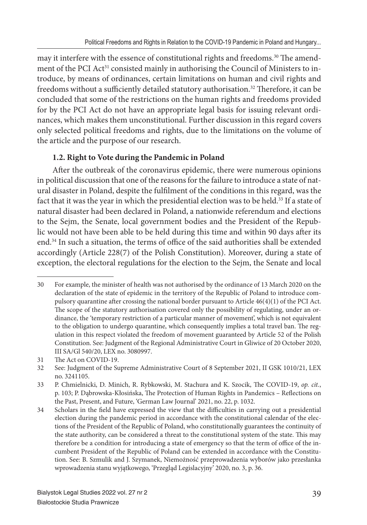may it interfere with the essence of constitutional rights and freedoms.<sup>30</sup> The amendment of the PCI Act<sup>31</sup> consisted mainly in authorising the Council of Ministers to introduce, by means of ordinances, certain limitations on human and civil rights and freedoms without a sufficiently detailed statutory authorisation.<sup>32</sup> Therefore, it can be concluded that some of the restrictions on the human rights and freedoms provided for by the PCI Act do not have an appropriate legal basis for issuing relevant ordinances, which makes them unconstitutional. Further discussion in this regard covers only selected political freedoms and rights, due to the limitations on the volume of the article and the purpose of our research.

#### **1.2. Right to Vote during the Pandemic in Poland**

After the outbreak of the coronavirus epidemic, there were numerous opinions in political discussion that one of the reasons for the failure to introduce a state of natural disaster in Poland, despite the fulfilment of the conditions in this regard, was the fact that it was the year in which the presidential election was to be held.<sup>33</sup> If a state of natural disaster had been declared in Poland, a nationwide referendum and elections to the Sejm, the Senate, local government bodies and the President of the Republic would not have been able to be held during this time and within 90 days after its end.<sup>34</sup> In such a situation, the terms of office of the said authorities shall be extended accordingly (Article 228(7) of the Polish Constitution). Moreover, during a state of exception, the electoral regulations for the election to the Sejm, the Senate and local

<sup>30</sup> For example, the minister of health was not authorised by the ordinance of 13 March 2020 on the declaration of the state of epidemic in the territory of the Republic of Poland to introduce compulsory quarantine after crossing the national border pursuant to Article  $46(4)(1)$  of the PCI Act. The scope of the statutory authorisation covered only the possibility of regulating, under an ordinance, the 'temporary restriction of a particular manner of movement', which is not equivalent to the obligation to undergo quarantine, which consequently implies a total travel ban. The regulation in this respect violated the freedom of movement guaranteed by Article 52 of the Polish Constitution. See: Judgment of the Regional Administrative Court in Gliwice of 20 October 2020, III SA/Gl 540/20, LEX no. 3080997.

<sup>31</sup> The Act on COVID-19.

<sup>32</sup> See: Judgment of the Supreme Administrative Court of 8 September 2021, II GSK 1010/21, LEX no. 3241105.

<sup>33</sup> P. Chmielnicki, D. Minich, R. Rybkowski, M. Stachura and K. Szocik, The COVID-19, op. cit., p. 103; P. Dąbrowska-Kłosińska, The Protection of Human Rights in Pandemics – Reflections on the Past, Present, and Future, 'German Law Journal' 2021, no. 22, p. 1032.

<sup>34</sup> Scholars in the field have expressed the view that the difficulties in carrying out a presidential election during the pandemic period in accordance with the constitutional calendar of the elections of the President of the Republic of Poland, who constitutionally guarantees the continuity of the state authority, can be considered a threat to the constitutional system of the state. This may therefore be a condition for introducing a state of emergency so that the term of office of the incumbent President of the Republic of Poland can be extended in accordance with the Constitution. See: B. Szmulik and J. Szymanek, Niemożność przeprowadzenia wyborów jako przesłanka wprowadzenia stanu wyjątkowego, 'Przegląd Legislacyjny' 2020, no. 3, p. 36.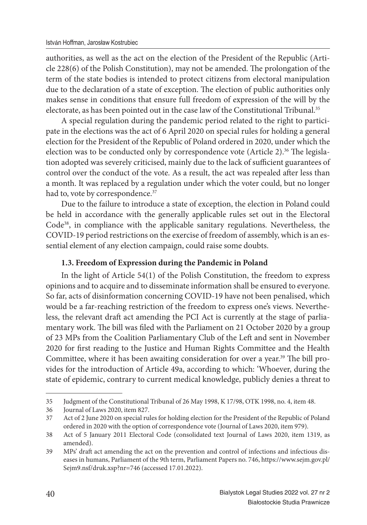authorities, as well as the act on the election of the President of the Republic (Article  $228(6)$  of the Polish Constitution), may not be amended. The prolongation of the term of the state bodies is intended to protect citizens from electoral manipulation due to the declaration of a state of exception. The election of public authorities only makes sense in conditions that ensure full freedom of expression of the will by the electorate, as has been pointed out in the case law of the Constitutional Tribunal.<sup>35</sup>

A special regulation during the pandemic period related to the right to participate in the elections was the act of 6 April 2020 on special rules for holding a general election for the President of the Republic of Poland ordered in 2020, under which the election was to be conducted only by correspondence vote (Article 2).<sup>36</sup> The legislation adopted was severely criticised, mainly due to the lack of sufficient guarantees of control over the conduct of the vote. As a result, the act was repealed after less than a month. It was replaced by a regulation under which the voter could, but no longer had to, vote by correspondence.<sup>37</sup>

Due to the failure to introduce a state of exception, the election in Poland could be held in accordance with the generally applicable rules set out in the Electoral Code38, in compliance with the applicable sanitary regulations. Nevertheless, the COVID-19 period restrictions on the exercise of freedom of assembly, which is an essential element of any election campaign, could raise some doubts.

#### **1.3. Freedom of Expression during the Pandemic in Poland**

In the light of Article 54(1) of the Polish Constitution, the freedom to express opinions and to acquire and to disseminate information shall be ensured to everyone. So far, acts of disinformation concerning COVID-19 have not been penalised, which would be a far-reaching restriction of the freedom to express one's views. Nevertheless, the relevant draft act amending the PCI Act is currently at the stage of parliamentary work. The bill was filed with the Parliament on 21 October 2020 by a group of 23 MPs from the Coalition Parliamentary Club of the Left and sent in November 2020 for first reading to the Justice and Human Rights Committee and the Health Committee, where it has been awaiting consideration for over a year.<sup>39</sup> The bill provides for the introduction of Article 49a, according to which: 'Whoever, during the state of epidemic, contrary to current medical knowledge, publicly denies a threat to

<sup>35</sup> Judgment of the Constitutional Tribunal of 26 May 1998, K 17/98, OTK 1998, no. 4, item 48.

<sup>36</sup> Journal of Laws 2020, item 827.

<sup>37</sup> Act of 2 June 2020 on special rules for holding election for the President of the Republic of Poland ordered in 2020 with the option of correspondence vote (Journal of Laws 2020, item 979).

<sup>38</sup> Act of 5 January 2011 Electoral Code (consolidated text Journal of Laws 2020, item 1319, as amended).

<sup>39</sup> MPs' draft act amending the act on the prevention and control of infections and infectious diseases in humans, Parliament of the 9th term, Parliament Papers no. 746, https://www.sejm.gov.pl/ Sejm9.nsf/druk.xsp?nr=746 (accessed 17.01.2022).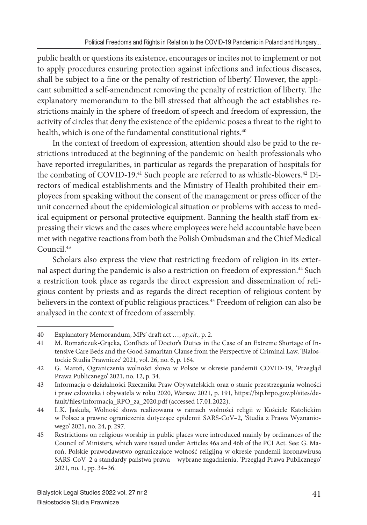public health or questions its existence, encourages or incites not to implement or not to apply procedures ensuring protection against infections and infectious diseases, shall be subject to a fine or the penalty of restriction of liberty.' However, the applicant submitted a self-amendment removing the penalty of restriction of liberty. The explanatory memorandum to the bill stressed that although the act establishes restrictions mainly in the sphere of freedom of speech and freedom of expression, the activity of circles that deny the existence of the epidemic poses a threat to the right to health, which is one of the fundamental constitutional rights.<sup>40</sup>

In the context of freedom of expression, attention should also be paid to the restrictions introduced at the beginning of the pandemic on health professionals who have reported irregularities, in particular as regards the preparation of hospitals for the combating of COVID-19.<sup>41</sup> Such people are referred to as whistle-blowers.<sup>42</sup> Directors of medical establishments and the Ministry of Health prohibited their employees from speaking without the consent of the management or press officer of the unit concerned about the epidemiological situation or problems with access to medical equipment or personal protective equipment. Banning the health staff from expressing their views and the cases where employees were held accountable have been met with negative reactions from both the Polish Ombudsman and the Chief Medical Council.43

Scholars also express the view that restricting freedom of religion in its external aspect during the pandemic is also a restriction on freedom of expression.<sup>44</sup> Such a restriction took place as regards the direct expression and dissemination of religious content by priests and as regards the direct reception of religious content by believers in the context of public religious practices.<sup>45</sup> Freedom of religion can also be analysed in the context of freedom of assembly.

<sup>40</sup> Explanatory Memorandum, MPs' draft act …, *op,cit*., p. 2.

<sup>41</sup> M. Romańczuk-Grącka, Conflicts of Doctor's Duties in the Case of an Extreme Shortage of Intensive Care Beds and the Good Samaritan Clause from the Perspective of Criminal Law, 'Białostockie Studia Prawnicze' 2021, vol. 26, no. 6, p. 164.

<sup>42</sup> G. Maroń, Ograniczenia wolności słowa w Polsce w okresie pandemii COVID-19, 'Przegląd Prawa Publicznego' 2021, no. 12, p. 34.

<sup>43</sup> Informacja o działalności Rzecznika Praw Obywatelskich oraz o stanie przestrzegania wolności i praw człowieka i obywatela w roku 2020, Warsaw 2021, p. 191, https://bip.brpo.gov.pl/sites/default/files/Informacja\_RPO\_za\_2020.pdf (accessed 17.01.2022).

<sup>44</sup> L.K. Jaskuła, Wolność słowa realizowana w ramach wolności religii w Kościele Katolickim w Polsce a prawne ograniczenia dotyczące epidemii SARS-CoV–2, 'Studia z Prawa Wyznaniowego' 2021, no. 24, p. 297.

<sup>45</sup> Restrictions on religious worship in public places were introduced mainly by ordinances of the Council of Ministers, which were issued under Articles 46a and 46b of the PCI Act. See: G. Maroń, Polskie prawodawstwo ograniczające wolność religijną w okresie pandemii koronawirusa SARS-CoV–2 a standardy państwa prawa – wybrane zagadnienia, 'Przegląd Prawa Publicznego' 2021, no. 1, pp. 34–36.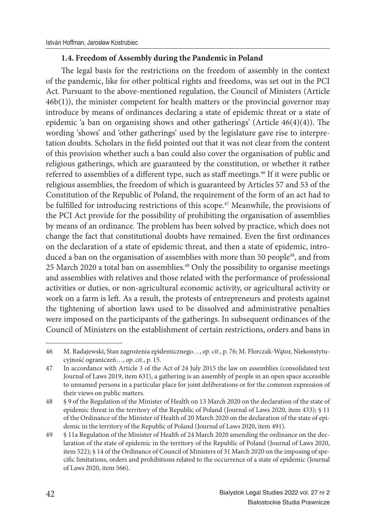#### **1.4. Freedom of Assembly during the Pandemic in Poland**

The legal basis for the restrictions on the freedom of assembly in the context of the pandemic, like for other political rights and freedoms, was set out in the PCI Act. Pursuant to the above-mentioned regulation, the Council of Ministers (Article 46b(1)), the minister competent for health matters or the provincial governor may introduce by means of ordinances declaring a state of epidemic threat or a state of epidemic 'a ban on organising shows and other gatherings' (Article  $46(4)(4)$ ). The wording 'shows' and 'other gatherings' used by the legislature gave rise to interpretation doubts. Scholars in the field pointed out that it was not clear from the content of this provision whether such a ban could also cover the organisation of public and religious gatherings, which are guaranteed by the constitution, or whether it rather referred to assemblies of a different type, such as staff meetings.<sup>46</sup> If it were public or religious assemblies, the freedom of which is guaranteed by Articles 57 and 53 of the Constitution of the Republic of Poland, the requirement of the form of an act had to be fulfilled for introducing restrictions of this scope.<sup>47</sup> Meanwhile, the provisions of the PCI Act provide for the possibility of prohibiting the organisation of assemblies by means of an ordinance. The problem has been solved by practice, which does not change the fact that constitutional doubts have remained. Even the first ordinances on the declaration of a state of epidemic threat, and then a state of epidemic, introduced a ban on the organisation of assemblies with more than 50 people<sup>48</sup>, and from 25 March 2020 a total ban on assemblies.49 Only the possibility to organise meetings and assemblies with relatives and those related with the performance of professional activities or duties, or non-agricultural economic activity, or agricultural activity or work on a farm is left. As a result, the protests of entrepreneurs and protests against the tightening of abortion laws used to be dissolved and administrative penalties were imposed on the participants of the gatherings. In subsequent ordinances of the Council of Ministers on the establishment of certain restrictions, orders and bans in

<sup>46</sup> M. Radajewski, Stan zagrożenia epidemicznego…, *op. cit.*, p. 76; M. Florczak-Wątor, Niekonstytucyjność ograniczeń…, *op. cit.*, p. 15.

<sup>47</sup> In accordance with Article 3 of the Act of 24 July 2015 the law on assemblies (consolidated text Journal of Laws 2019, item 631), a gathering is an assembly of people in an open space accessible to unnamed persons in a particular place for joint deliberations or for the common expression of their views on public matters.

<sup>48 § 9</sup> of the Regulation of the Minister of Health on 13 March 2020 on the declaration of the state of epidemic threat in the territory of the Republic of Poland (Journal of Laws 2020, item 433); § 11 of the Ordinance of the Minister of Health of 20 March 2020 on the declaration of the state of epidemic in the territory of the Republic of Poland (Journal of Laws 2020, item 491).

<sup>49 § 11</sup>a Regulation of the Minister of Health of 24 March 2020 amending the ordinance on the declaration of the state of epidemic in the territory of the Republic of Poland (Journal of Laws 2020, item 522); § 14 of the Ordinance of Council of Ministers of 31 March 2020 on the imposing of specific limitations, orders and prohibitions related to the occurrence of a state of epidemic (Journal of Laws 2020, item 566).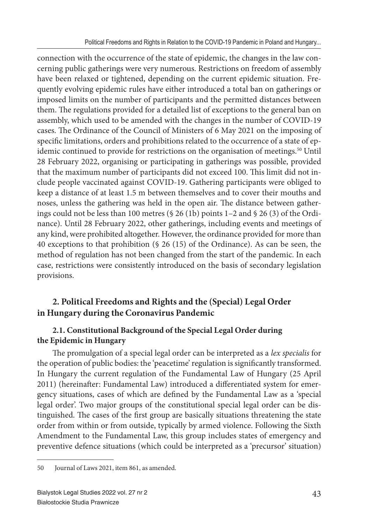connection with the occurrence of the state of epidemic, the changes in the law concerning public gatherings were very numerous. Restrictions on freedom of assembly have been relaxed or tightened, depending on the current epidemic situation. Frequently evolving epidemic rules have either introduced a total ban on gatherings or imposed limits on the number of participants and the permitted distances between them. The regulations provided for a detailed list of exceptions to the general ban on assembly, which used to be amended with the changes in the number of COVID-19 cases. The Ordinance of the Council of Ministers of 6 May 2021 on the imposing of specific limitations, orders and prohibitions related to the occurrence of a state of epidemic continued to provide for restrictions on the organisation of meetings.<sup>50</sup> Until 28 February 2022, organising or participating in gatherings was possible, provided that the maximum number of participants did not exceed 100. This limit did not include people vaccinated against COVID-19. Gathering participants were obliged to keep a distance of at least 1.5 m between themselves and to cover their mouths and noses, unless the gathering was held in the open air. The distance between gatherings could not be less than 100 metres (§ 26 (1b) points 1 –2 and § 26 (3) of the Ordinance). Until 28 February 2022, other gatherings, including events and meetings of any kind, were prohibited altogether. However, the ordinance provided for more than 40 exceptions to that prohibition (§ 26 (15) of the Ordinance). As can be seen, the method of regulation has not been changed from the start of the pandemic. In each case, restrictions were consistently introduced on the basis of secondary legislation provisions.

## **2. Political Freedoms and Rights and the (Special) Legal Order in Hungary during the Coronavirus Pandemic**

## **2.1. Constitutional Background of the Special Legal Order during the Epidemic in Hungary**

The promulgation of a special legal order can be interpreted as a *lex specialis* for the operation of public bodies: the 'peacetime' regulation is significantly transformed. In Hungary the current regulation of the Fundamental Law of Hungary (25 April 2011) (hereinafter: Fundamental Law) introduced a differentiated system for emergency situations, cases of which are defined by the Fundamental Law as a 'special legal order'. Two major groups of the constitutional special legal order can be distinguished. The cases of the first group are basically situations threatening the state order from within or from outside, typically by armed violence. Following the Sixth Amendment to the Fundamental Law, this group includes states of emergency and preventive defence situations (which could be interpreted as a 'precursor' situation)

<sup>50</sup> Journal of Laws 2021, item 861, as amended.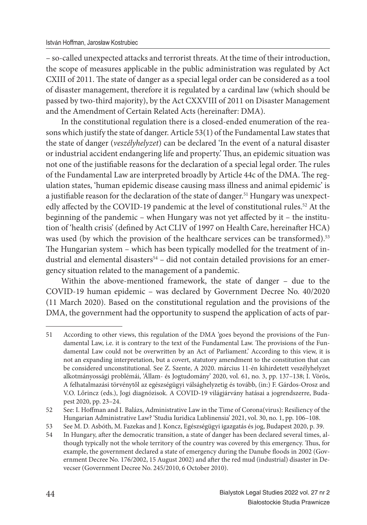– so-called unexpected attacks and terrorist threats. At the time of their introduction, the scope of measures applicable in the public administration was regulated by Act CXIII of 2011. The state of danger as a special legal order can be considered as a tool of disaster management, therefore it is regulated by a cardinal law (which should be passed by two-third majority), by the Act CXXVIII of 2011 on Disaster Management and the Amendment of Certain Related Acts (hereinafter: DMA).

In the constitutional regulation there is a closed-ended enumeration of the reasons which justify the state of danger. Article 53(1) of the Fundamental Law states that the state of danger (*veszélyhelyzet*) can be declared 'In the event of a natural disaster or industrial accident endangering life and property.' Thus, an epidemic situation was not one of the justifiable reasons for the declaration of a special legal order. The rules of the Fundamental Law are interpreted broadly by Article 44c of the DMA. The regulation states, 'human epidemic disease causing mass illness and animal epidemic' is a justifiable reason for the declaration of the state of danger.<sup>51</sup> Hungary was unexpectedly affected by the COVID-19 pandemic at the level of constitutional rules.<sup>52</sup> At the beginning of the pandemic – when Hungary was not yet affected by it – the institution of 'health crisis' (defined by Act CLIV of 1997 on Health Care, hereinafter HCA) was used (by which the provision of the healthcare services can be transformed).<sup>53</sup> The Hungarian system - which has been typically modelled for the treatment of industrial and elemental disasters<sup>54</sup> - did not contain detailed provisions for an emergency situation related to the management of a pandemic.

Within the above-mentioned framework, the state of danger – due to the COVID-19 human epidemic – was declared by Government Decree No. 40/2020 (11 March 2020). Based on the constitutional regulation and the provisions of the DMA, the government had the opportunity to suspend the application of acts of par-

<sup>51</sup> According to other views, this regulation of the DMA 'goes beyond the provisions of the Fundamental Law, i.e. it is contrary to the text of the Fundamental Law. The provisions of the Fundamental Law could not be overwritten by an Act of Parliament.' According to this view, it is not an expanding interpretation, but a covert, statutory amendment to the constitution that can be considered unconstitutional. See Z. Szente, A 2020. március 11-én kihirdetett veszélyhelyzet alkotmányossági problémái, 'Állam- és Jogtudomány' 2020, vol. 61, no. 3, pp. 137–138; I. Vörös, A felhatalmazási törvénytől az egészségügyi válsághelyzetig és tovább, (in:) F. Gárdos-Orosz and V.O. Lőrincz (eds.), Jogi diagnózisok. A COVID-19 világjárvány hatásai a jogrendszerre, Budapest 2020, pp. 23–24.

<sup>52</sup> See: I. Hoffman and I. Balázs, Administrative Law in the Time of Corona(virus): Resiliency of the Hungarian Administrative Law? 'Studia Iuridica Lublinensia' 2021, vol. 30, no. 1, pp. 106–108.

<sup>53</sup> See M. D. Asbóth, M. Fazekas and J. Koncz, Egészségügyi igazgatás és jog, Budapest 2020, p. 39.

<sup>54</sup> In Hungary, after the democratic transition, a state of danger has been declared several times, although typically not the whole territory of the country was covered by this emergency. Thus, for example, the government declared a state of emergency during the Danube floods in 2002 (Government Decree No. 176/2002, 15 August 2002) and after the red mud (industrial) disaster in Devecser (Government Decree No. 245/2010, 6 October 2010).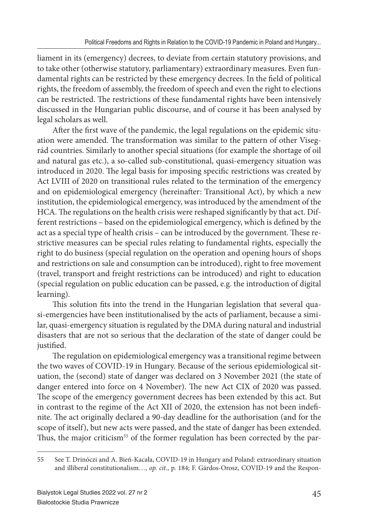liament in its (emergency) decrees, to deviate from certain statutory provisions, and to take other (otherwise statutory, parliamentary) extraordinary measures. Even fundamental rights can be restricted by these emergency decrees. In the field of political rights, the freedom of assembly, the freedom of speech and even the right to elections can be restricted. The restrictions of these fundamental rights have been intensively discussed in the Hungarian public discourse, and of course it has been analysed by legal scholars as well.

After the first wave of the pandemic, the legal regulations on the epidemic situation were amended. The transformation was similar to the pattern of other Visegrád countries. Similarly to another special situations (for example the shortage of oil and natural gas etc.), a so-called sub-constitutional, quasi-emergency situation was introduced in 2020. The legal basis for imposing specific restrictions was created by Act LVIII of 2020 on transitional rules related to the termination of the emergency and on epidemiological emergency (hereinafter: Transitional Act), by which a new institution, the epidemiological emergency, was introduced by the amendment of the HCA. The regulations on the health crisis were reshaped significantly by that act. Different restrictions – based on the epidemiological emergency, which is defined by the act as a special type of health crisis – can be introduced by the government. These restrictive measures can be special rules relating to fundamental rights, especially the right to do business (special regulation on the operation and opening hours of shops and restrictions on sale and consumption can be introduced), right to free movement (travel, transport and freight restrictions can be introduced) and right to education (special regulation on public education can be passed, e.g. the introduction of digital learning).

This solution fits into the trend in the Hungarian legislation that several quasi-emergencies have been institutionalised by the acts of parliament, because a similar, quasi-emergency situation is regulated by the DMA during natural and industrial disasters that are not so serious that the declaration of the state of danger could be justified.

The regulation on epidemiological emergency was a transitional regime between the two waves of COVID-19 in Hungary. Because of the serious epidemiological situation, the (second) state of danger was declared on 3 November 2021 (the state of danger entered into force on 4 November). The new Act CIX of 2020 was passed. The scope of the emergency government decrees has been extended by this act. But in contrast to the regime of the Act XII of 2020, the extension has not been indefinite. The act originally declared a 90-day deadline for the authorisation (and for the scope of itself), but new acts were passed, and the state of danger has been extended. Thus, the major criticism<sup>55</sup> of the former regulation has been corrected by the par-

<sup>55</sup> See T. Drinóczi and A. Bień-Kacała, COVID-19 in Hungary and Poland: extraordinary situation and illiberal constitutionalism…, *op. cit.*, p. 184; F. Gárdos-Orosz, COVID-19 and the Respon-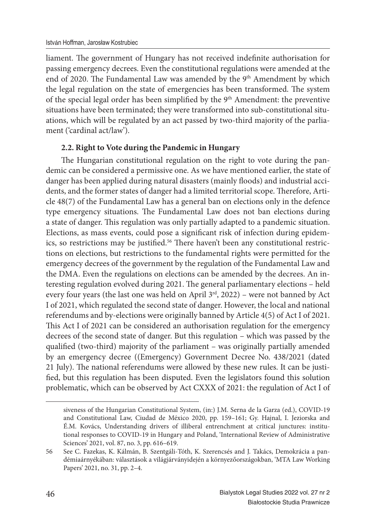liament. The government of Hungary has not received indefinite authorisation for passing emergency decrees. Even the constitutional regulations were amended at the end of 2020. The Fundamental Law was amended by the 9<sup>th</sup> Amendment by which the legal regulation on the state of emergencies has been transformed. The system of the special legal order has been simplified by the 9<sup>th</sup> Amendment: the preventive situations have been terminated; they were transformed into sub-constitutional situations, which will be regulated by an act passed by two-third majority of the parliament ('cardinal act/law').

#### **2.2. Right to Vote during the Pandemic in Hungary**

The Hungarian constitutional regulation on the right to vote during the pandemic can be considered a permissive one. As we have mentioned earlier, the state of danger has been applied during natural disasters (mainly floods) and industrial accidents, and the former states of danger had a limited territorial scope. Therefore, Article 48(7) of the Fundamental Law has a general ban on elections only in the defence type emergency situations. The Fundamental Law does not ban elections during a state of danger. This regulation was only partially adapted to a pandemic situation. Elections, as mass events, could pose a significant risk of infection during epidemics, so restrictions may be justified.<sup>56</sup> There haven't been any constitutional restrictions on elections, but restrictions to the fundamental rights were permitted for the emergency decrees of the government by the regulation of the Fundamental Law and the DMA. Even the regulations on elections can be amended by the decrees. An interesting regulation evolved during 2021. The general parliamentary elections - held every four years (the last one was held on April  $3<sup>rd</sup>$ , 2022) – were not banned by Act I of 2021, which regulated the second state of danger. However, the local and national referendums and by-elections were originally banned by Article 4(5) of Act I of 2021. This Act I of 2021 can be considered an authorisation regulation for the emergency decrees of the second state of danger. But this regulation – which was passed by the qualified (two-third) majority of the parliament – was originally partially amended by an emergency decree ((Emergency) Government Decree No. 438/2021 (dated 21 July). The national referendums were allowed by these new rules. It can be justified, but this regulation has been disputed. Even the legislators found this solution problematic, which can be observed by Act CXXX of 2021: the regulation of Act I of

siveness of the Hungarian Constitutional System, (in:) J.M. Serna de la Garza (ed.), COVID-19 and Constitutional Law, Ciudad de México 2020, pp. 159–161; Gy. Hajnal, I. Jeziorska and É.M. Kovács, Understanding drivers of illiberal entrenchment at critical junctures: institutional responses to COVID-19 in Hungary and Poland, 'International Review of Administrative Sciences' 2021, vol. 87, no. 3, pp. 616–619.

<sup>56</sup> See C. Fazekas, K. Kálmán, B. Szentgáli-Tóth, K. Szerencsés and J. Takács, Demokrácia a pandémiaárnyékában: választások a világjárványidején a környezőországokban, 'MTA Law Working Papers' 2021, no. 31, pp. 2–4.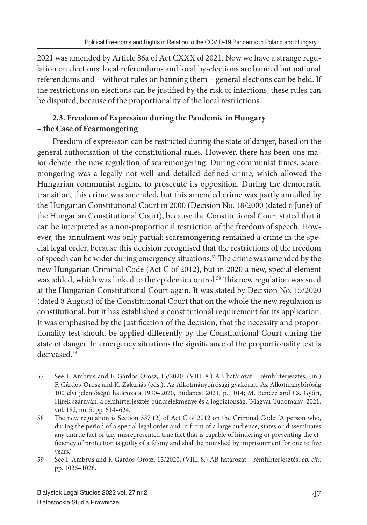2021 was amended by Article 86a of Act CXXX of 2021. Now we have a strange regulation on elections: local referendums and local by-elections are banned but national referendums and – without rules on banning them – general elections can be held. If the restrictions on elections can be justified by the risk of infections, these rules can be disputed, because of the proportionality of the local restrictions.

## **2.3. Freedom of Expression during the Pandemic in Hungary – the Case of Fearmongering**

Freedom of expression can be restricted during the state of danger, based on the general authorisation of the constitutional rules. However, there has been one major debate: the new regulation of scaremongering. During communist times, scaremongering was a legally not well and detailed defined crime, which allowed the Hungarian communist regime to prosecute its opposition. During the democratic transition, this crime was amended, but this amended crime was partly annulled by the Hungarian Constitutional Court in 2000 (Decision No. 18/2000 (dated 6 June) of the Hungarian Constitutional Court), because the Constitutional Court stated that it can be interpreted as a non-proportional restriction of the freedom of speech. However, the annulment was only partial: scaremongering remained a crime in the special legal order, because this decision recognised that the restrictions of the freedom of speech can be wider during emergency situations.<sup>57</sup> The crime was amended by the new Hungarian Criminal Code (Act C of 2012), but in 2020 a new, special element was added, which was linked to the epidemic control.<sup>58</sup> This new regulation was sued at the Hungarian Constitutional Court again. It was stated by Decision No. 15/2020 (dated 8 August) of the Constitutional Court that on the whole the new regulation is constitutional, but it has established a constitutional requirement for its application. It was emphasised by the justification of the decision, that the necessity and proportionality test should be applied differently by the Constitutional Court during the state of danger. In emergency situations the significance of the proportionality test is decreased.59

<sup>57</sup> See I. Ambrus and F. Gárdos-Orosz, 15/2020. (VIII. 8.) AB határozat – rémhírterjesztés, (in:) F. Gárdos-Orosz and K. Zakariás (eds.), Az Alkotmánybírósági gyakorlat. Az Alkotmánybíróság 100 elvi jelentőségű határozata 1990–2020, Budapest 2021, p. 1014; M. Bencze and Cs. Győri, Hírek szárnyán: a rémhírterjesztés bűncselekménye és a jogbiztonság, 'Magyar Tudomány' 2021, vol. 182, no. 5, pp. 614–624.

<sup>58</sup> The new regulation is Section 337 (2) of Act C of 2012 on the Criminal Code: 'A person who, during the period of a special legal order and in front of a large audience, states or disseminates any untrue fact or any misrepresented true fact that is capable of hindering or preventing the efficiency of protection is guilty of a felony and shall be punished by imprisonment for one to five years.'

<sup>59</sup> See I. Ambrus and F. Gárdos-Orosz, 15/2020. (VIII. 8.) AB határozat – rémhírterjesztés, *op. cit.,*  pp. 1026–1028.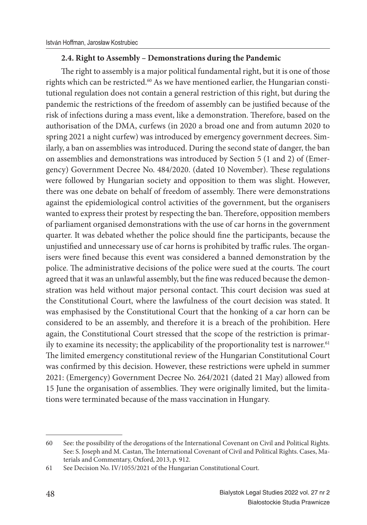#### **2.4. Right to Assembly – Demonstrations during the Pandemic**

The right to assembly is a major political fundamental right, but it is one of those rights which can be restricted.<sup>60</sup> As we have mentioned earlier, the Hungarian constitutional regulation does not contain a general restriction of this right, but during the pandemic the restrictions of the freedom of assembly can be justified because of the risk of infections during a mass event, like a demonstration. Therefore, based on the authorisation of the DMA, curfews (in 2020 a broad one and from autumn 2020 to spring 2021 a night curfew) was introduced by emergency government decrees. Similarly, a ban on assemblies was introduced. During the second state of danger, the ban on assemblies and demonstrations was introduced by Section 5 (1 and 2) of (Emergency) Government Decree No. 484/2020. (dated 10 November). These regulations were followed by Hungarian society and opposition to them was slight. However, there was one debate on behalf of freedom of assembly. There were demonstrations against the epidemiological control activities of the government, but the organisers wanted to express their protest by respecting the ban. Therefore, opposition members of parliament organised demonstrations with the use of car horns in the government quarter. It was debated whether the police should fine the participants, because the unjustified and unnecessary use of car horns is prohibited by traffic rules. The organisers were fined because this event was considered a banned demonstration by the police. The administrative decisions of the police were sued at the courts. The court agreed that it was an unlawful assembly, but the fine was reduced because the demonstration was held without major personal contact. This court decision was sued at the Constitutional Court, where the lawfulness of the court decision was stated. It was emphasised by the Constitutional Court that the honking of a car horn can be considered to be an assembly, and therefore it is a breach of the prohibition. Here again, the Constitutional Court stressed that the scope of the restriction is primarily to examine its necessity; the applicability of the proportionality test is narrower.<sup>61</sup> The limited emergency constitutional review of the Hungarian Constitutional Court was confirmed by this decision. However, these restrictions were upheld in summer 2021: (Emergency) Government Decree No. 264/2021 (dated 21 May) allowed from 15 June the organisation of assemblies. They were originally limited, but the limitations were terminated because of the mass vaccination in Hungary.

<sup>60</sup> See: the possibility of the derogations of the International Covenant on Civil and Political Rights. See: S. Joseph and M. Castan, The International Covenant of Civil and Political Rights. Cases, Materials and Commentary, Oxford, 2013, p. 912.

<sup>61</sup> See Decision No. IV/1055/2021 of the Hungarian Constitutional Court.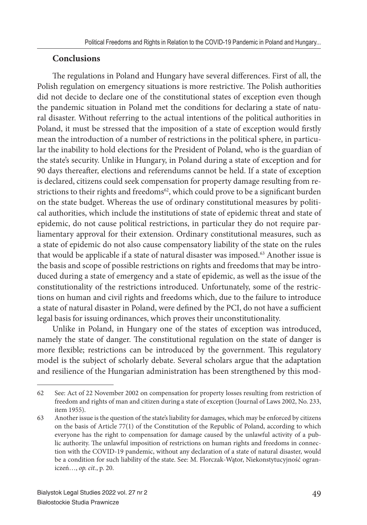## **Conclusions**

The regulations in Poland and Hungary have several differences. First of all, the Polish regulation on emergency situations is more restrictive. The Polish authorities did not decide to declare one of the constitutional states of exception even though the pandemic situation in Poland met the conditions for declaring a state of natural disaster. Without referring to the actual intentions of the political authorities in Poland, it must be stressed that the imposition of a state of exception would firstly mean the introduction of a number of restrictions in the political sphere, in particular the inability to hold elections for the President of Poland, who is the guardian of the state's security. Unlike in Hungary, in Poland during a state of exception and for 90 days thereafter, elections and referendums cannot be held. If a state of exception is declared, citizens could seek compensation for property damage resulting from restrictions to their rights and freedoms<sup>62</sup>, which could prove to be a significant burden on the state budget. Whereas the use of ordinary constitutional measures by political authorities, which include the institutions of state of epidemic threat and state of epidemic, do not cause political restrictions, in particular they do not require parliamentary approval for their extension. Ordinary constitutional measures, such as a state of epidemic do not also cause compensatory liability of the state on the rules that would be applicable if a state of natural disaster was imposed.<sup>63</sup> Another issue is the basis and scope of possible restrictions on rights and freedoms that may be introduced during a state of emergency and a state of epidemic, as well as the issue of the constitutionality of the restrictions introduced. Unfortunately, some of the restrictions on human and civil rights and freedoms which, due to the failure to introduce a state of natural disaster in Poland, were defined by the PCI, do not have a sufficient legal basis for issuing ordinances, which proves their unconstitutionality.

Unlike in Poland, in Hungary one of the states of exception was introduced, namely the state of danger. The constitutional regulation on the state of danger is more flexible; restrictions can be introduced by the government. This regulatory model is the subject of scholarly debate. Several scholars argue that the adaptation and resilience of the Hungarian administration has been strengthened by this mod-

<sup>62</sup> See: Act of 22 November 2002 on compensation for property losses resulting from restriction of freedom and rights of man and citizen during a state of exception (Journal of Laws 2002, No. 233, item 1955).

<sup>63</sup> Another issue is the question of the state's liability for damages, which may be enforced by citizens on the basis of Article 77(1) of the Constitution of the Republic of Poland, according to which everyone has the right to compensation for damage caused by the unlawful activity of a public authority. The unlawful imposition of restrictions on human rights and freedoms in connection with the COVID-19 pandemic, without any declaration of a state of natural disaster, would be a condition for such liability of the state. See: M. Florczak-Wątor, Niekonstytucyjność ograniczeń…, *op. cit.*, p. 20.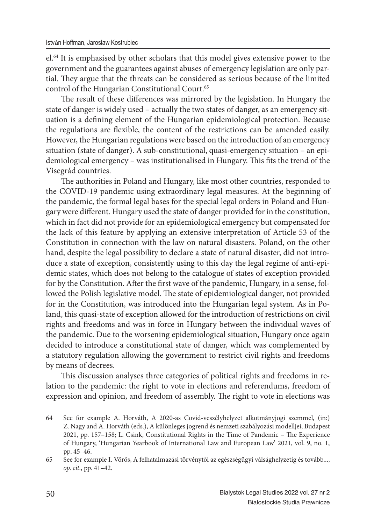el.<sup>64</sup> It is emphasised by other scholars that this model gives extensive power to the government and the guarantees against abuses of emergency legislation are only partial. They argue that the threats can be considered as serious because of the limited control of the Hungarian Constitutional Court.<sup>65</sup>

The result of these differences was mirrored by the legislation. In Hungary the state of danger is widely used – actually the two states of danger, as an emergency situation is a defining element of the Hungarian epidemiological protection. Because the regulations are flexible, the content of the restrictions can be amended easily. However, the Hungarian regulations were based on the introduction of an emergency situation (state of danger). A sub-constitutional, quasi-emergency situation – an epidemiological emergency - was institutionalised in Hungary. This fits the trend of the Visegrád countries.

The authorities in Poland and Hungary, like most other countries, responded to the COVID-19 pandemic using extraordinary legal measures. At the beginning of the pandemic, the formal legal bases for the special legal orders in Poland and Hungary were different. Hungary used the state of danger provided for in the constitution, which in fact did not provide for an epidemiological emergency but compensated for the lack of this feature by applying an extensive interpretation of Article 53 of the Constitution in connection with the law on natural disasters. Poland, on the other hand, despite the legal possibility to declare a state of natural disaster, did not introduce a state of exception, consistently using to this day the legal regime of anti-epidemic states, which does not belong to the catalogue of states of exception provided for by the Constitution. After the first wave of the pandemic, Hungary, in a sense, followed the Polish legislative model. The state of epidemiological danger, not provided for in the Constitution, was introduced into the Hungarian legal system. As in Poland, this quasi-state of exception allowed for the introduction of restrictions on civil rights and freedoms and was in force in Hungary between the individual waves of the pandemic. Due to the worsening epidemiological situation, Hungary once again decided to introduce a constitutional state of danger, which was complemented by a statutory regulation allowing the government to restrict civil rights and freedoms by means of decrees.

This discussion analyses three categories of political rights and freedoms in relation to the pandemic: the right to vote in elections and referendums, freedom of expression and opinion, and freedom of assembly. The right to vote in elections was

<sup>64</sup> See for example A. Horváth, A 2020-as Covid-veszélyhelyzet alkotmányjogi szemmel, (in:) Z. Nagy and A. Horváth (eds.), A különleges jogrend és nemzeti szabályozási modelljei, Budapest 2021, pp. 157-158; L. Csink, Constitutional Rights in the Time of Pandemic - The Experience of Hungary, 'Hungarian Yearbook of International Law and European Law' 2021, vol. 9, no. 1, pp. 45–46.

<sup>65</sup> See for example I. Vörös, A felhatalmazási törvénytől az egészségügyi válsághelyzetig és tovább..., *op. cit.*, pp. 41–42.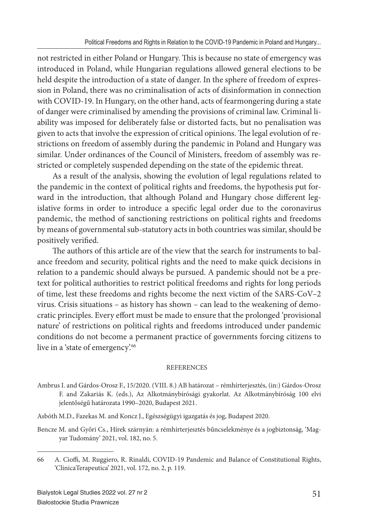not restricted in either Poland or Hungary. This is because no state of emergency was introduced in Poland, while Hungarian regulations allowed general elections to be held despite the introduction of a state of danger. In the sphere of freedom of expression in Poland, there was no criminalisation of acts of disinformation in connection with COVID-19. In Hungary, on the other hand, acts of fearmongering during a state of danger were criminalised by amending the provisions of criminal law. Criminal liability was imposed for deliberately false or distorted facts, but no penalisation was given to acts that involve the expression of critical opinions. The legal evolution of restrictions on freedom of assembly during the pandemic in Poland and Hungary was similar. Under ordinances of the Council of Ministers, freedom of assembly was restricted or completely suspended depending on the state of the epidemic threat.

As a result of the analysis, showing the evolution of legal regulations related to the pandemic in the context of political rights and freedoms, the hypothesis put forward in the introduction, that although Poland and Hungary chose different legislative forms in order to introduce a specific legal order due to the coronavirus pandemic, the method of sanctioning restrictions on political rights and freedoms by means of governmental sub-statutory acts in both countries was similar, should be positively verified.

The authors of this article are of the view that the search for instruments to balance freedom and security, political rights and the need to make quick decisions in relation to a pandemic should always be pursued. A pandemic should not be a pretext for political authorities to restrict political freedoms and rights for long periods of time, lest these freedoms and rights become the next victim of the SARS-CoV–2 virus. Crisis situations – as history has shown – can lead to the weakening of democratic principles. Every effort must be made to ensure that the prolonged 'provisional nature' of restrictions on political rights and freedoms introduced under pandemic conditions do not become a permanent practice of governments forcing citizens to live in a 'state of emergency'.<sup>66</sup>

#### REFERENCES

- Ambrus I. and Gárdos-Orosz F., 15/2020. (VIII. 8.) AB határozat rémhírterjesztés, (in:) Gárdos-Orosz F. and Zakariás K. (eds.), Az Alkotmánybírósági gyakorlat. Az Alkotmánybíróság 100 elvi jelentőségű határozata 1990–2020, Budapest 2021.
- Asbóth M.D., Fazekas M. and Koncz J., Egészségügyi igazgatás és jog, Budapest 2020.
- Bencze M. and Győri Cs., Hírek szárnyán: a rémhírterjesztés bűncselekménye és a jogbiztonság, 'Magyar Tudomány' 2021, vol. 182, no. 5.

<sup>66</sup> A. Cioffi, M. Ruggiero, R. Rinaldi, COVID-19 Pandemic and Balance of Constitutional Rights, 'ClinicaTerapeutica' 2021, vol. 172, no. 2, p. 119.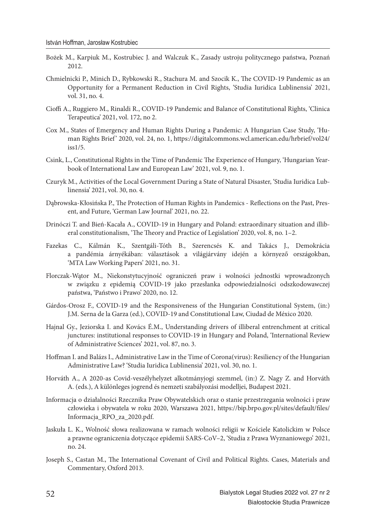- Bożek M., Karpiuk M., Kostrubiec J. and Walczuk K., Zasady ustroju politycznego państwa, Poznań 2012.
- Chmielnicki P., Minich D., Rybkowski R., Stachura M. and Szocik K., The COVID-19 Pandemic as an Opportunity for a Permanent Reduction in Civil Rights, 'Studia Iuridica Lublinensia' 2021, vol. 31, no. 4.
- Cioffi A., Ruggiero M., Rinaldi R., COVID-19 Pandemic and Balance of Constitutional Rights, 'Clinica Terapeutica' 2021, vol. 172, no 2.
- Cox M., States of Emergency and Human Rights During a Pandemic: A Hungarian Case Study, 'Human Rights Brief ' 2020, vol. 24, no. 1, https://digitalcommons.wcl.american.edu/hrbrief/vol24/ iss1/5.
- Csink, L., Constitutional Rights in the Time of Pandemic The Experience of Hungary, 'Hungarian Yearbook of International Law and European Law' 2021, vol. 9, no. 1.
- Czuryk M., Activities of the Local Government During a State of Natural Disaster, 'Studia Iuridica Lublinensia' 2021, vol. 30, no. 4.
- Dąbrowska-Kłosińska P., The Protection of Human Rights in Pandemics Reflections on the Past, Present, and Future, 'German Law Journal' 2021, no. 22.
- Drinóczi T. and Bień-Kacała A., COVID-19 in Hungary and Poland: extraordinary situation and illiberal constitutionalism, 'The Theory and Practice of Legislation' 2020, vol. 8, no. 1–2.
- Fazekas C., Kálmán K., Szentgáli-Tóth B., Szerencsés K. and Takács J., Demokrácia a pandémia árnyékában: választások a világjárvány idején a környező országokban, 'MTA Law Working Papers' 2021, no. 31.
- Florczak-Wątor M., Niekonstytucyjność ograniczeń praw i wolności jednostki wprowadzonych w związku z epidemią COVID-19 jako przesłanka odpowiedzialności odszkodowawczej państwa, 'Państwo i Prawo' 2020, no. 12.
- Gárdos-Orosz F., COVID-19 and the Responsiveness of the Hungarian Constitutional System, (in:) J.M. Serna de la Garza (ed.), COVID-19 and Constitutional Law, Ciudad de México 2020.
- Hajnal Gy., Jeziorska I. and Kovács É.M., Understanding drivers of illiberal entrenchment at critical junctures: institutional responses to COVID-19 in Hungary and Poland, 'International Review of Administrative Sciences' 2021, vol. 87, no. 3.
- Hoffman I. and Balázs I., Administrative Law in the Time of Corona(virus): Resiliency of the Hungarian Administrative Law? 'Studia Iuridica Lublinensia' 2021, vol. 30, no. 1.
- Horváth A., A 2020-as Covid-veszélyhelyzet alkotmányjogi szemmel, (in:) Z. Nagy Z. and Horváth A. (eds.), A különleges jogrend és nemzeti szabályozási modelljei, Budapest 2021.
- Informacja o działalności Rzecznika Praw Obywatelskich oraz o stanie przestrzegania wolności i praw człowieka i obywatela w roku 2020, Warszawa 2021, https://bip.brpo.gov.pl/sites/default/files/ Informacja\_RPO\_za\_2020.pdf.
- Jaskuła L. K., Wolność słowa realizowana w ramach wolności religii w Kościele Katolickim w Polsce a prawne ograniczenia dotyczące epidemii SARS-CoV–2, 'Studia z Prawa Wyznaniowego' 2021, no. 24.
- Joseph S., Castan M., The International Covenant of Civil and Political Rights. Cases, Materials and Commentary, Oxford 2013.